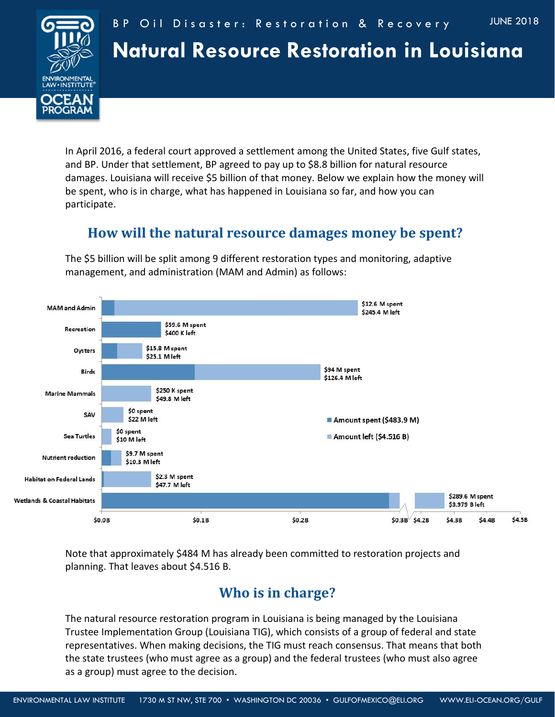

In April 2016, a federal court approved a settlement among the United States, five Gulf states, and BP. Under that settlement, BP agreed to pay up to \$8.8 billion for natural resource damages. Louisiana will receive \$5 billion of that money. Below we explain how the money will be spent, who is in charge, what has happened in Louisiana so far, and how you can participate.

## **How will the natural resource damages money be spent?**

The \$5 billion will be split among 9 different restoration types and monitoring, adaptive management, and administration (MAM and Admin) as follows:



Note that approximately \$484 M has already been committed to restoration projects and planning. That leaves about \$4.516 B.

## **Who is in charge?**

The natural resource restoration program in Louisiana is being managed by the Louisiana Trustee Implementation Group (Louisiana TIG), which consists of a group of federal and state representatives. When making decisions, the TIG must reach consensus. That means that both the state trustees (who must agree as a group) and the federal trustees (who must also agree as a group) must agree to the decision.